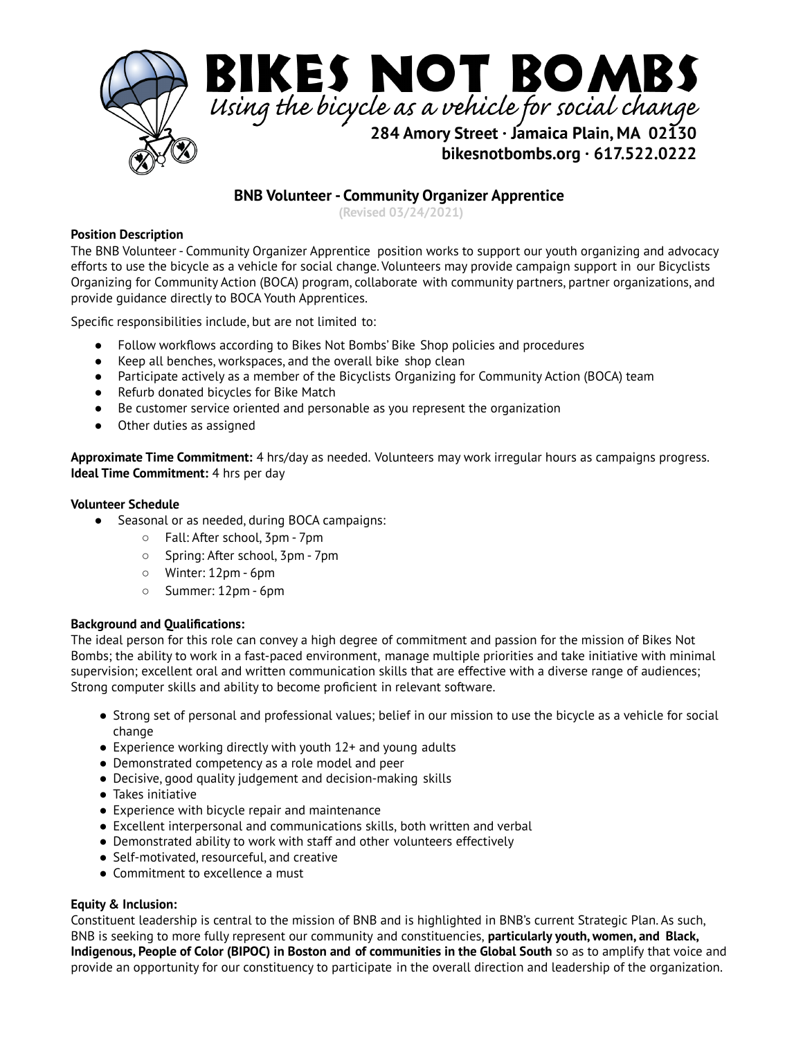

# **BNB Volunteer - Community Organizer Apprentice**

**(Revised 03/24/2021)**

## **Position Description**

The BNB Volunteer - Community Organizer Apprentice position works to support our youth organizing and advocacy efforts to use the bicycle as a vehicle for social change. Volunteers may provide campaign support in our Bicyclists Organizing for Community Action (BOCA) program, collaborate with community partners, partner organizations, and provide guidance directly to BOCA Youth Apprentices.

Specific responsibilities include, but are not limited to:

- Follow workflows according to Bikes Not Bombs' Bike Shop policies and procedures
- Keep all benches, workspaces, and the overall bike shop clean
- Participate actively as a member of the Bicyclists Organizing for Community Action (BOCA) team
- Refurb donated bicycles for Bike Match
- Be customer service oriented and personable as you represent the organization
- Other duties as assigned

**Approximate Time Commitment:** 4 hrs/day as needed. Volunteers may work irregular hours as campaigns progress. **Ideal Time Commitment:** 4 hrs per day

#### **Volunteer Schedule**

- Seasonal or as needed, during BOCA campaigns:
	- Fall: After school, 3pm 7pm
	- Spring: After school, 3pm 7pm
	- Winter: 12pm 6pm
	- Summer: 12pm 6pm

#### **Background and Qualifications:**

The ideal person for this role can convey a high degree of commitment and passion for the mission of Bikes Not Bombs; the ability to work in a fast-paced environment, manage multiple priorities and take initiative with minimal supervision; excellent oral and written communication skills that are effective with a diverse range of audiences; Strong computer skills and ability to become proficient in relevant software.

- Strong set of personal and professional values; belief in our mission to use the bicycle as a vehicle for social change
- $\bullet$  Experience working directly with youth 12+ and young adults
- Demonstrated competency as a role model and peer
- Decisive, good quality judgement and decision-making skills
- Takes initiative
- Experience with bicycle repair and maintenance
- Excellent interpersonal and communications skills, both written and verbal
- Demonstrated ability to work with staff and other volunteers effectively
- Self-motivated, resourceful, and creative
- Commitment to excellence a must

#### **Equity & Inclusion:**

Constituent leadership is central to the mission of BNB and is highlighted in BNB's current Strategic Plan. As such, BNB is seeking to more fully represent our community and constituencies, **particularly youth, women, and Black, Indigenous, People of Color (BIPOC) in Boston and of communities in the Global South** so as to amplify that voice and provide an opportunity for our constituency to participate in the overall direction and leadership of the organization.